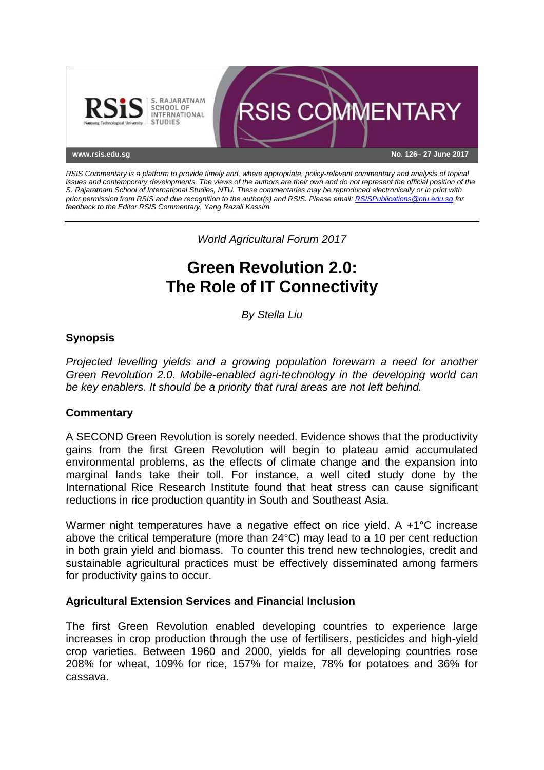

*RSIS Commentary is a platform to provide timely and, where appropriate, policy-relevant commentary and analysis of topical issues and contemporary developments. The views of the authors are their own and do not represent the official position of the S. Rajaratnam School of International Studies, NTU. These commentaries may be reproduced electronically or in print with prior permission from RSIS and due recognition to the author(s) and RSIS. Please email[: RSISPublications@ntu.edu.sg](mailto:RSISPublications@ntu.edu.sg) for feedback to the Editor RSIS Commentary, Yang Razali Kassim.*

*World Agricultural Forum 2017*

# **Green Revolution 2.0: The Role of IT Connectivity**

*By Stella Liu*

## **Synopsis**

*Projected levelling yields and a growing population forewarn a need for another Green Revolution 2.0. Mobile-enabled agri-technology in the developing world can be key enablers. It should be a priority that rural areas are not left behind.*

## **Commentary**

A SECOND Green Revolution is sorely needed. Evidence shows that the productivity gains from the first Green Revolution will begin to plateau amid accumulated environmental problems, as the effects of climate change and the expansion into marginal lands take their toll. For instance, a well cited study done by the International Rice Research Institute found that heat stress can cause significant reductions in rice production quantity in South and Southeast Asia.

Warmer night temperatures have a negative effect on rice yield. A +1<sup>o</sup>C increase above the critical temperature (more than 24°C) may lead to a 10 per cent reduction in both grain yield and biomass. To counter this trend new technologies, credit and sustainable agricultural practices must be effectively disseminated among farmers for productivity gains to occur.

#### **Agricultural Extension Services and Financial Inclusion**

The first Green Revolution enabled developing countries to experience large increases in crop production through the use of fertilisers, pesticides and high-yield crop varieties. Between 1960 and 2000, yields for all developing countries rose 208% for wheat, 109% for rice, 157% for maize, 78% for potatoes and 36% for cassava.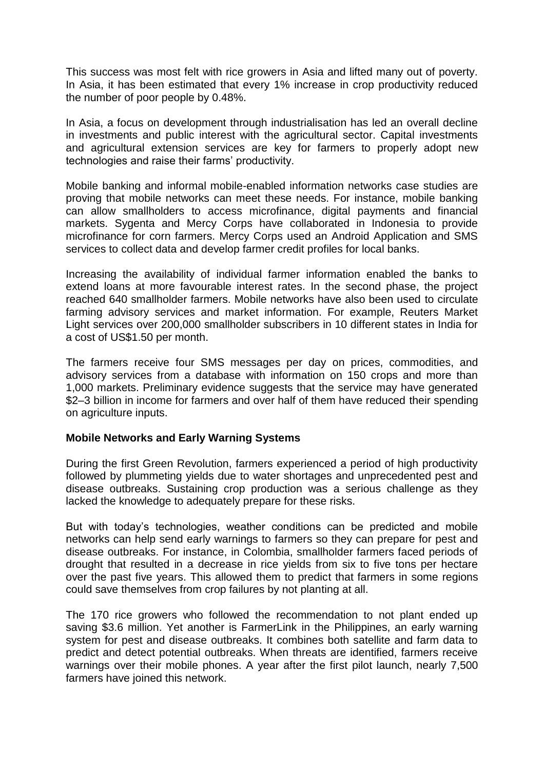This success was most felt with rice growers in Asia and lifted many out of poverty. In Asia, it has been estimated that every 1% increase in crop productivity reduced the number of poor people by 0.48%.

In Asia, a focus on development through industrialisation has led an overall decline in investments and public interest with the agricultural sector. Capital investments and agricultural extension services are key for farmers to properly adopt new technologies and raise their farms' productivity.

Mobile banking and informal mobile-enabled information networks case studies are proving that mobile networks can meet these needs. For instance, mobile banking can allow smallholders to access microfinance, digital payments and financial markets. Sygenta and Mercy Corps have collaborated in Indonesia to provide microfinance for corn farmers. Mercy Corps used an Android Application and SMS services to collect data and develop farmer credit profiles for local banks.

Increasing the availability of individual farmer information enabled the banks to extend loans at more favourable interest rates. In the second phase, the project reached 640 smallholder farmers. Mobile networks have also been used to circulate farming advisory services and market information. For example, Reuters Market Light services over 200,000 smallholder subscribers in 10 different states in India for a cost of US\$1.50 per month.

The farmers receive four SMS messages per day on prices, commodities, and advisory services from a database with information on 150 crops and more than 1,000 markets. Preliminary evidence suggests that the service may have generated \$2–3 billion in income for farmers and over half of them have reduced their spending on agriculture inputs.

## **Mobile Networks and Early Warning Systems**

During the first Green Revolution, farmers experienced a period of high productivity followed by plummeting yields due to water shortages and unprecedented pest and disease outbreaks. Sustaining crop production was a serious challenge as they lacked the knowledge to adequately prepare for these risks.

But with today's technologies, weather conditions can be predicted and mobile networks can help send early warnings to farmers so they can prepare for pest and disease outbreaks. For instance, in Colombia, smallholder farmers faced periods of drought that resulted in a decrease in rice yields from six to five tons per hectare over the past five years. This allowed them to predict that farmers in some regions could save themselves from crop failures by not planting at all.

The 170 rice growers who followed the recommendation to not plant ended up saving \$3.6 million. Yet another is FarmerLink in the Philippines, an early warning system for pest and disease outbreaks. It combines both satellite and farm data to predict and detect potential outbreaks. When threats are identified, farmers receive warnings over their mobile phones. A year after the first pilot launch, nearly 7,500 farmers have joined this network.